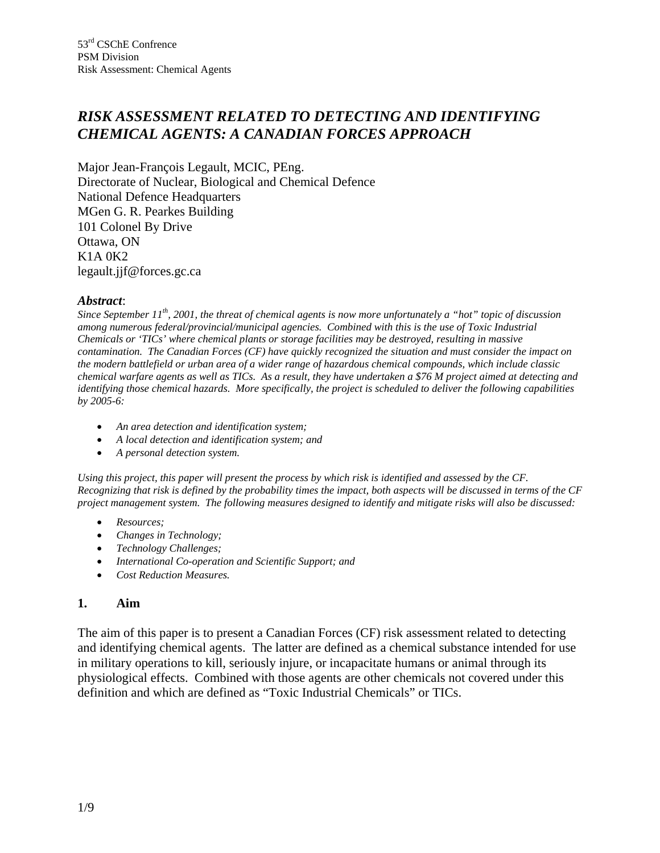# *RISK ASSESSMENT RELATED TO DETECTING AND IDENTIFYING CHEMICAL AGENTS: A CANADIAN FORCES APPROACH*

Major Jean-François Legault, MCIC, PEng. Directorate of Nuclear, Biological and Chemical Defence National Defence Headquarters MGen G. R. Pearkes Building 101 Colonel By Drive Ottawa, ON K1A 0K2 legault.jjf@forces.gc.ca

#### *Abstract*:

*Since September 11th, 2001, the threat of chemical agents is now more unfortunately a "hot" topic of discussion among numerous federal/provincial/municipal agencies. Combined with this is the use of Toxic Industrial Chemicals or 'TICs' where chemical plants or storage facilities may be destroyed, resulting in massive contamination. The Canadian Forces (CF) have quickly recognized the situation and must consider the impact on the modern battlefield or urban area of a wider range of hazardous chemical compounds, which include classic chemical warfare agents as well as TICs. As a result, they have undertaken a \$76 M project aimed at detecting and identifying those chemical hazards. More specifically, the project is scheduled to deliver the following capabilities by 2005-6:*

- *An area detection and identification system;*
- *A local detection and identification system; and*
- *A personal detection system.*

*Using this project, this paper will present the process by which risk is identified and assessed by the CF. Recognizing that risk is defined by the probability times the impact, both aspects will be discussed in terms of the CF project management system. The following measures designed to identify and mitigate risks will also be discussed:*

- *Resources;*
- *Changes in Technology;*
- *Technology Challenges;*
- *International Co-operation and Scientific Support; and*
- *Cost Reduction Measures.*

#### **1. Aim**

The aim of this paper is to present a Canadian Forces (CF) risk assessment related to detecting and identifying chemical agents. The latter are defined as a chemical substance intended for use in military operations to kill, seriously injure, or incapacitate humans or animal through its physiological effects. Combined with those agents are other chemicals not covered under this definition and which are defined as "Toxic Industrial Chemicals" or TICs.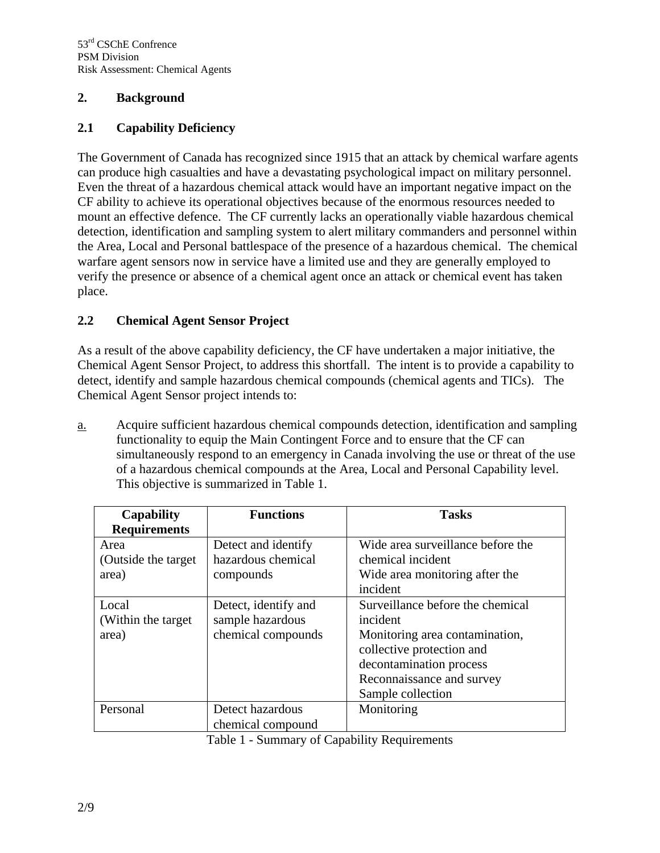### **2. Background**

## **2.1 Capability Deficiency**

The Government of Canada has recognized since 1915 that an attack by chemical warfare agents can produce high casualties and have a devastating psychological impact on military personnel. Even the threat of a hazardous chemical attack would have an important negative impact on the CF ability to achieve its operational objectives because of the enormous resources needed to mount an effective defence. The CF currently lacks an operationally viable hazardous chemical detection, identification and sampling system to alert military commanders and personnel within the Area, Local and Personal battlespace of the presence of a hazardous chemical. The chemical warfare agent sensors now in service have a limited use and they are generally employed to verify the presence or absence of a chemical agent once an attack or chemical event has taken place.

## **2.2 Chemical Agent Sensor Project**

As a result of the above capability deficiency, the CF have undertaken a major initiative, the Chemical Agent Sensor Project, to address this shortfall. The intent is to provide a capability to detect, identify and sample hazardous chemical compounds (chemical agents and TICs). The Chemical Agent Sensor project intends to:

a. Acquire sufficient hazardous chemical compounds detection, identification and sampling functionality to equip the Main Contingent Force and to ensure that the CF can simultaneously respond to an emergency in Canada involving the use or threat of the use of a hazardous chemical compounds at the Area, Local and Personal Capability level. This objective is summarized in Table 1.

| Capability           | <b>Functions</b>     | <b>Tasks</b>                      |
|----------------------|----------------------|-----------------------------------|
| <b>Requirements</b>  |                      |                                   |
| Area                 | Detect and identify  | Wide area surveillance before the |
| (Outside the target) | hazardous chemical   | chemical incident                 |
| area)                | compounds            | Wide area monitoring after the    |
|                      |                      | incident                          |
| Local                | Detect, identify and | Surveillance before the chemical  |
| (Within the target)  | sample hazardous     | incident                          |
| area)                | chemical compounds   | Monitoring area contamination,    |
|                      |                      | collective protection and         |
|                      |                      | decontamination process           |
|                      |                      | Reconnaissance and survey         |
|                      |                      | Sample collection                 |
| Personal             | Detect hazardous     | Monitoring                        |
|                      | chemical compound    |                                   |

Table 1 - Summary of Capability Requirements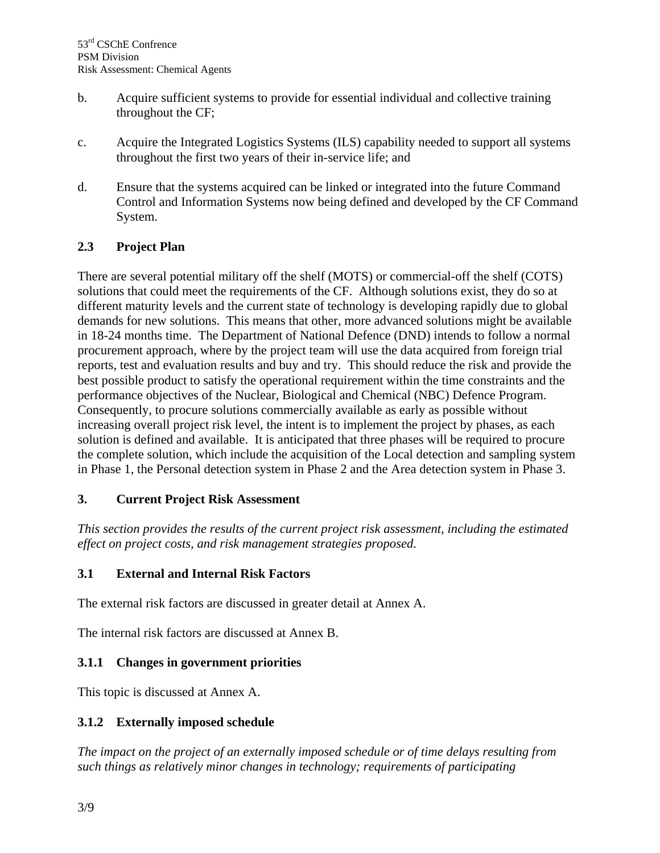- b. Acquire sufficient systems to provide for essential individual and collective training throughout the CF;
- c. Acquire the Integrated Logistics Systems (ILS) capability needed to support all systems throughout the first two years of their in-service life; and
- d. Ensure that the systems acquired can be linked or integrated into the future Command Control and Information Systems now being defined and developed by the CF Command System.

## **2.3 Project Plan**

There are several potential military off the shelf (MOTS) or commercial-off the shelf (COTS) solutions that could meet the requirements of the CF. Although solutions exist, they do so at different maturity levels and the current state of technology is developing rapidly due to global demands for new solutions. This means that other, more advanced solutions might be available in 18-24 months time. The Department of National Defence (DND) intends to follow a normal procurement approach, where by the project team will use the data acquired from foreign trial reports, test and evaluation results and buy and try. This should reduce the risk and provide the best possible product to satisfy the operational requirement within the time constraints and the performance objectives of the Nuclear, Biological and Chemical (NBC) Defence Program. Consequently, to procure solutions commercially available as early as possible without increasing overall project risk level, the intent is to implement the project by phases, as each solution is defined and available. It is anticipated that three phases will be required to procure the complete solution, which include the acquisition of the Local detection and sampling system in Phase 1, the Personal detection system in Phase 2 and the Area detection system in Phase 3.

### **3. Current Project Risk Assessment**

*This section provides the results of the current project risk assessment, including the estimated effect on project costs, and risk management strategies proposed.*

### **3.1 External and Internal Risk Factors**

The external risk factors are discussed in greater detail at Annex A.

The internal risk factors are discussed at Annex B.

### **3.1.1 Changes in government priorities**

This topic is discussed at Annex A.

### **3.1.2 Externally imposed schedule**

*The impact on the project of an externally imposed schedule or of time delays resulting from such things as relatively minor changes in technology; requirements of participating*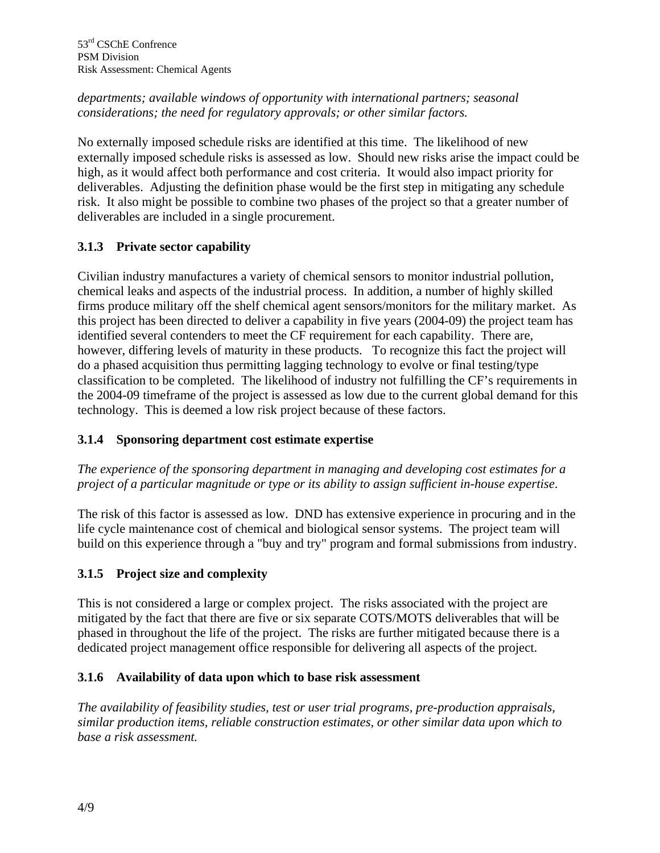## *departments; available windows of opportunity with international partners; seasonal considerations; the need for regulatory approvals; or other similar factors.*

No externally imposed schedule risks are identified at this time. The likelihood of new externally imposed schedule risks is assessed as low. Should new risks arise the impact could be high, as it would affect both performance and cost criteria. It would also impact priority for deliverables.Adjusting the definition phase would be the first step in mitigating any schedule risk. It also might be possible to combine two phases of the project so that a greater number of deliverables are included in a single procurement.

## **3.1.3 Private sector capability**

Civilian industry manufactures a variety of chemical sensors to monitor industrial pollution, chemical leaks and aspects of the industrial process. In addition, a number of highly skilled firms produce military off the shelf chemical agent sensors/monitors for the military market. As this project has been directed to deliver a capability in five years (2004-09) the project team has identified several contenders to meet the CF requirement for each capability. There are, however, differing levels of maturity in these products. To recognize this fact the project will do a phased acquisition thus permitting lagging technology to evolve or final testing/type classification to be completed. The likelihood of industry not fulfilling the CF's requirements in the 2004-09 timeframe of the project is assessed as low due to the current global demand for this technology. This is deemed a low risk project because of these factors.

## **3.1.4 Sponsoring department cost estimate expertise**

*The experience of the sponsoring department in managing and developing cost estimates for a project of a particular magnitude or type or its ability to assign sufficient in-house expertise*.

The risk of this factor is assessed as low. DND has extensive experience in procuring and in the life cycle maintenance cost of chemical and biological sensor systems. The project team will build on this experience through a "buy and try" program and formal submissions from industry.

## **3.1.5 Project size and complexity**

This is not considered a large or complex project. The risks associated with the project are mitigated by the fact that there are five or six separate COTS/MOTS deliverables that will be phased in throughout the life of the project. The risks are further mitigated because there is a dedicated project management office responsible for delivering all aspects of the project.

## **3.1.6 Availability of data upon which to base risk assessment**

*The availability of feasibility studies, test or user trial programs, pre-production appraisals, similar production items, reliable construction estimates, or other similar data upon which to base a risk assessment.*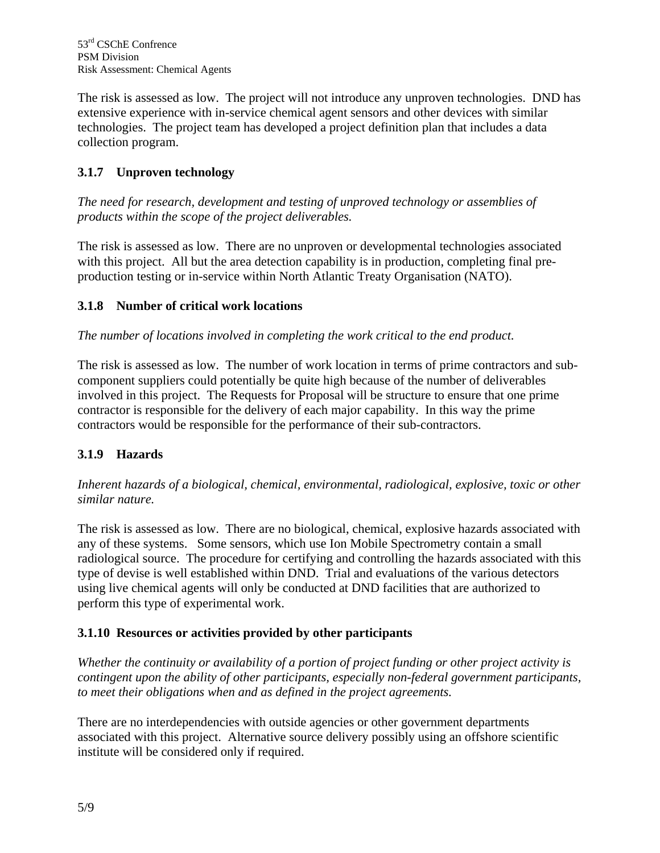The risk is assessed as low. The project will not introduce any unproven technologies. DND has extensive experience with in-service chemical agent sensors and other devices with similar technologies. The project team has developed a project definition plan that includes a data collection program.

## **3.1.7 Unproven technology**

*The need for research, development and testing of unproved technology or assemblies of products within the scope of the project deliverables.*

The risk is assessed as low. There are no unproven or developmental technologies associated with this project. All but the area detection capability is in production, completing final preproduction testing or in-service within North Atlantic Treaty Organisation (NATO).

## **3.1.8 Number of critical work locations**

*The number of locations involved in completing the work critical to the end product.*

The risk is assessed as low. The number of work location in terms of prime contractors and subcomponent suppliers could potentially be quite high because of the number of deliverables involved in this project. The Requests for Proposal will be structure to ensure that one prime contractor is responsible for the delivery of each major capability. In this way the prime contractors would be responsible for the performance of their sub-contractors.

## **3.1.9 Hazards**

*Inherent hazards of a biological, chemical, environmental, radiological, explosive, toxic or other similar nature.*

The risk is assessed as low. There are no biological, chemical, explosive hazards associated with any of these systems. Some sensors, which use Ion Mobile Spectrometry contain a small radiological source. The procedure for certifying and controlling the hazards associated with this type of devise is well established within DND. Trial and evaluations of the various detectors using live chemical agents will only be conducted at DND facilities that are authorized to perform this type of experimental work.

## **3.1.10 Resources or activities provided by other participants**

*Whether the continuity or availability of a portion of project funding or other project activity is contingent upon the ability of other participants, especially non-federal government participants, to meet their obligations when and as defined in the project agreements.*

There are no interdependencies with outside agencies or other government departments associated with this project. Alternative source delivery possibly using an offshore scientific institute will be considered only if required.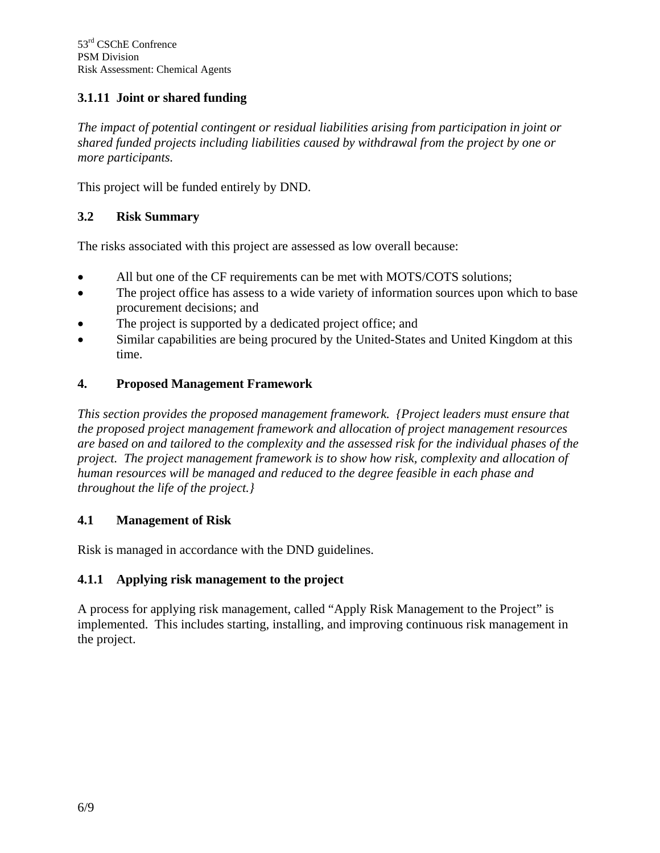## **3.1.11 Joint or shared funding**

*The impact of potential contingent or residual liabilities arising from participation in joint or shared funded projects including liabilities caused by withdrawal from the project by one or more participants.*

This project will be funded entirely by DND.

### **3.2 Risk Summary**

The risks associated with this project are assessed as low overall because:

- All but one of the CF requirements can be met with MOTS/COTS solutions;
- The project office has assess to a wide variety of information sources upon which to base procurement decisions; and
- The project is supported by a dedicated project office; and
- Similar capabilities are being procured by the United-States and United Kingdom at this time.

#### **4. Proposed Management Framework**

*This section provides the proposed management framework. {Project leaders must ensure that the proposed project management framework and allocation of project management resources are based on and tailored to the complexity and the assessed risk for the individual phases of the project. The project management framework is to show how risk, complexity and allocation of human resources will be managed and reduced to the degree feasible in each phase and throughout the life of the project.}*

#### **4.1 Management of Risk**

Risk is managed in accordance with the DND guidelines.

#### **4.1.1 Applying risk management to the project**

A process for applying risk management, called "Apply Risk Management to the Project" is implemented. This includes starting, installing, and improving continuous risk management in the project.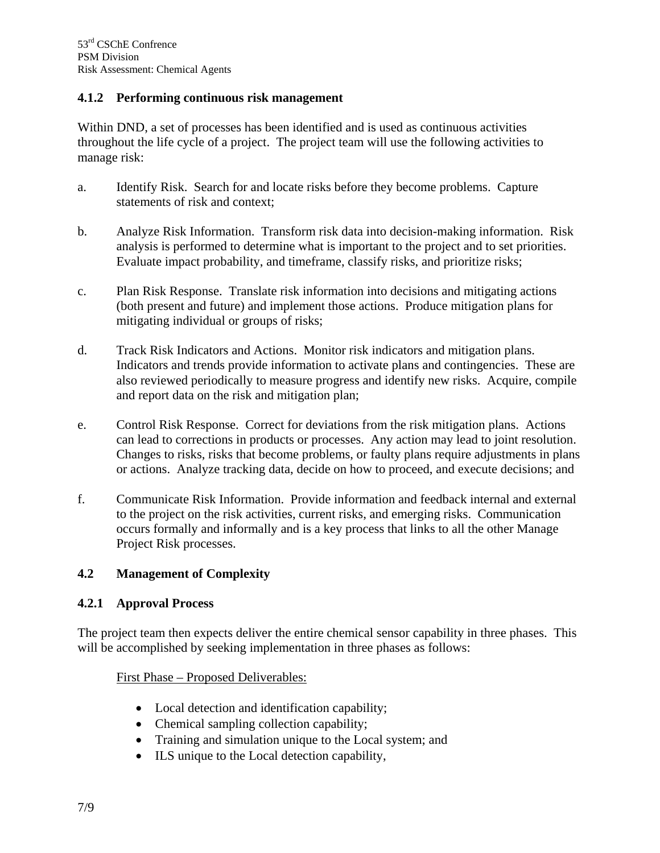#### **4.1.2 Performing continuous risk management**

Within DND, a set of processes has been identified and is used as continuous activities throughout the life cycle of a project. The project team will use the following activities to manage risk:

- a. Identify Risk. Search for and locate risks before they become problems. Capture statements of risk and context;
- b. Analyze Risk Information. Transform risk data into decision-making information. Risk analysis is performed to determine what is important to the project and to set priorities. Evaluate impact probability, and timeframe, classify risks, and prioritize risks;
- c. Plan Risk Response. Translate risk information into decisions and mitigating actions (both present and future) and implement those actions. Produce mitigation plans for mitigating individual or groups of risks;
- d. Track Risk Indicators and Actions. Monitor risk indicators and mitigation plans. Indicators and trends provide information to activate plans and contingencies. These are also reviewed periodically to measure progress and identify new risks. Acquire, compile and report data on the risk and mitigation plan;
- e. Control Risk Response. Correct for deviations from the risk mitigation plans. Actions can lead to corrections in products or processes. Any action may lead to joint resolution. Changes to risks, risks that become problems, or faulty plans require adjustments in plans or actions. Analyze tracking data, decide on how to proceed, and execute decisions; and
- f. Communicate Risk Information. Provide information and feedback internal and external to the project on the risk activities, current risks, and emerging risks.Communication occurs formally and informally and is a key process that links to all the other Manage Project Risk processes.

### **4.2 Management of Complexity**

#### **4.2.1 Approval Process**

The project team then expects deliver the entire chemical sensor capability in three phases. This will be accomplished by seeking implementation in three phases as follows:

#### First Phase – Proposed Deliverables:

- Local detection and identification capability;
- Chemical sampling collection capability;
- Training and simulation unique to the Local system; and
- ILS unique to the Local detection capability,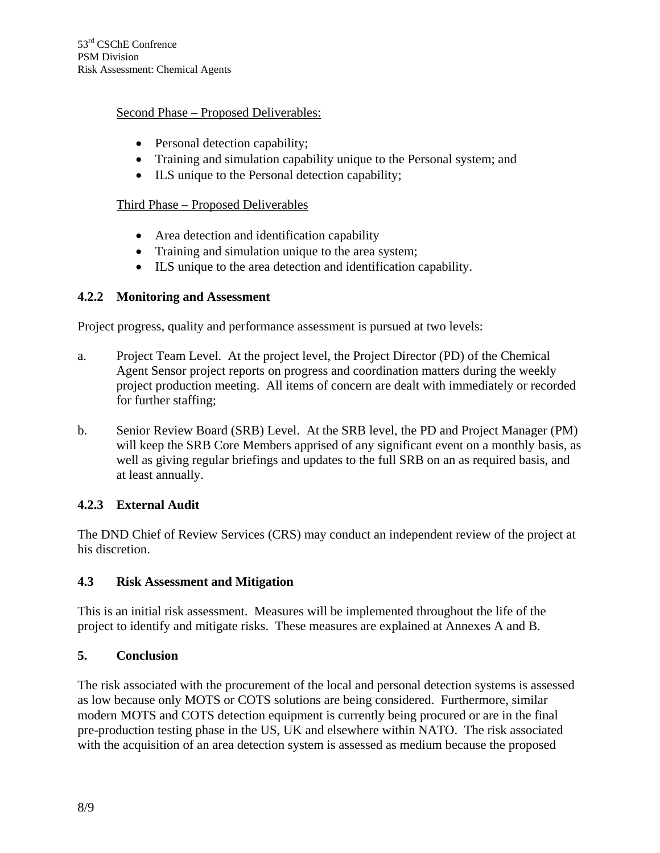#### Second Phase – Proposed Deliverables:

- Personal detection capability;
- Training and simulation capability unique to the Personal system; and
- ILS unique to the Personal detection capability;

### Third Phase – Proposed Deliverables

- Area detection and identification capability
- Training and simulation unique to the area system;
- ILS unique to the area detection and identification capability.

## **4.2.2 Monitoring and Assessment**

Project progress, quality and performance assessment is pursued at two levels:

- a. Project Team Level. At the project level, the Project Director (PD) of the Chemical Agent Sensor project reports on progress and coordination matters during the weekly project production meeting. All items of concern are dealt with immediately or recorded for further staffing;
- b. Senior Review Board (SRB) Level. At the SRB level, the PD and Project Manager (PM) will keep the SRB Core Members apprised of any significant event on a monthly basis, as well as giving regular briefings and updates to the full SRB on an as required basis, and at least annually.

## **4.2.3 External Audit**

The DND Chief of Review Services (CRS) may conduct an independent review of the project at his discretion.

### **4.3 Risk Assessment and Mitigation**

This is an initial risk assessment. Measures will be implemented throughout the life of the project to identify and mitigate risks. These measures are explained at Annexes A and B.

### **5. Conclusion**

The risk associated with the procurement of the local and personal detection systems is assessed as low because only MOTS or COTS solutions are being considered. Furthermore, similar modern MOTS and COTS detection equipment is currently being procured or are in the final pre-production testing phase in the US, UK and elsewhere within NATO. The risk associated with the acquisition of an area detection system is assessed as medium because the proposed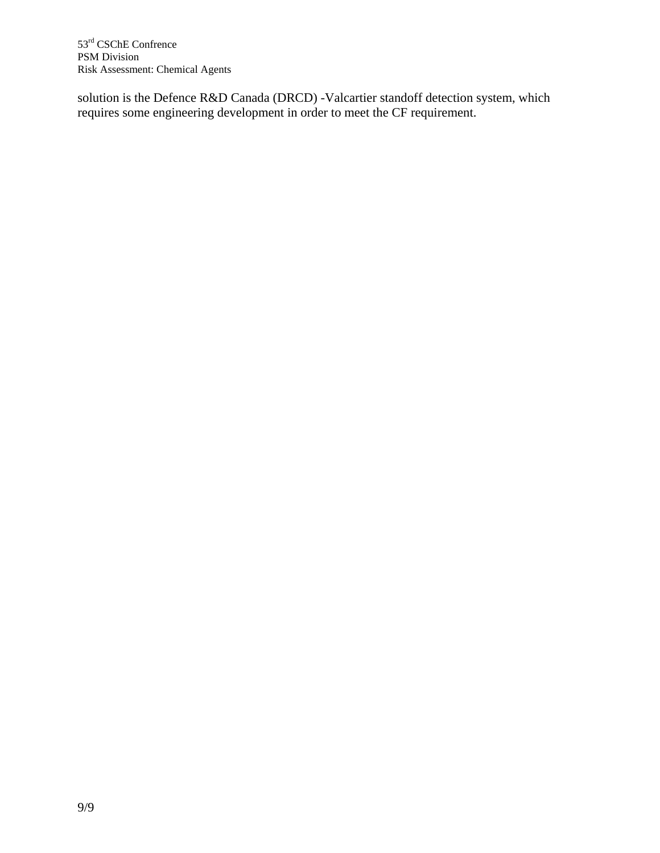solution is the Defence R&D Canada (DRCD) -Valcartier standoff detection system, which requires some engineering development in order to meet the CF requirement.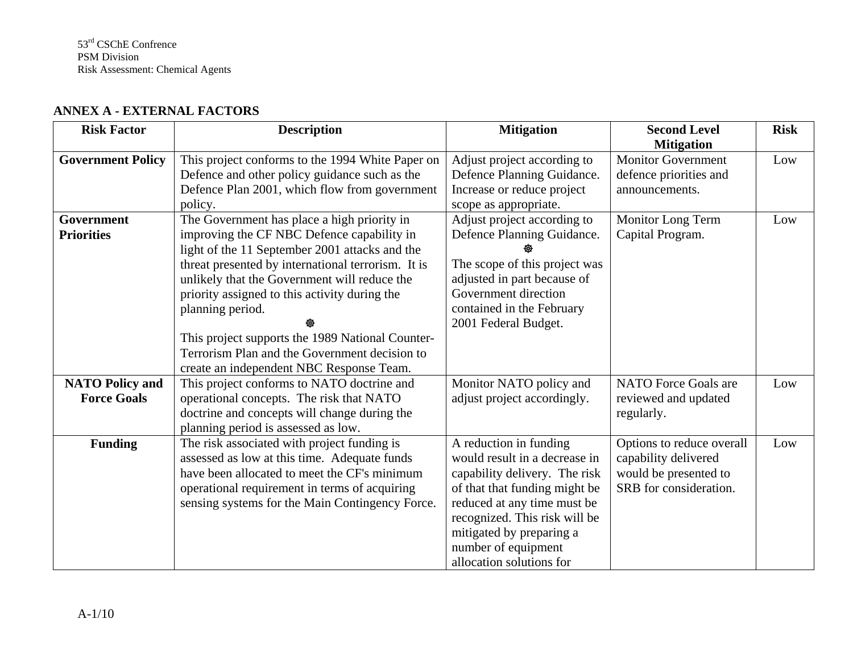| <b>Risk Factor</b>       | <b>Description</b>                                 | <b>Mitigation</b>             | <b>Second Level</b>                            | <b>Risk</b> |
|--------------------------|----------------------------------------------------|-------------------------------|------------------------------------------------|-------------|
| <b>Government Policy</b> | This project conforms to the 1994 White Paper on   | Adjust project according to   | <b>Mitigation</b><br><b>Monitor Government</b> | Low         |
|                          | Defence and other policy guidance such as the      | Defence Planning Guidance.    | defence priorities and                         |             |
|                          | Defence Plan 2001, which flow from government      | Increase or reduce project    | announcements.                                 |             |
|                          | policy.                                            | scope as appropriate.         |                                                |             |
| Government               | The Government has place a high priority in        | Adjust project according to   | Monitor Long Term                              | Low         |
| <b>Priorities</b>        | improving the CF NBC Defence capability in         | Defence Planning Guidance.    | Capital Program.                               |             |
|                          | light of the 11 September 2001 attacks and the     |                               |                                                |             |
|                          | threat presented by international terrorism. It is | The scope of this project was |                                                |             |
|                          | unlikely that the Government will reduce the       | adjusted in part because of   |                                                |             |
|                          | priority assigned to this activity during the      | Government direction          |                                                |             |
|                          | planning period.                                   | contained in the February     |                                                |             |
|                          |                                                    | 2001 Federal Budget.          |                                                |             |
|                          | This project supports the 1989 National Counter-   |                               |                                                |             |
|                          | Terrorism Plan and the Government decision to      |                               |                                                |             |
|                          | create an independent NBC Response Team.           |                               |                                                |             |
| <b>NATO Policy and</b>   | This project conforms to NATO doctrine and         | Monitor NATO policy and       | <b>NATO</b> Force Goals are                    | Low         |
| <b>Force Goals</b>       | operational concepts. The risk that NATO           | adjust project accordingly.   | reviewed and updated                           |             |
|                          | doctrine and concepts will change during the       |                               | regularly.                                     |             |
|                          | planning period is assessed as low.                |                               |                                                |             |
| <b>Funding</b>           | The risk associated with project funding is        | A reduction in funding        | Options to reduce overall                      | Low         |
|                          | assessed as low at this time. Adequate funds       | would result in a decrease in | capability delivered                           |             |
|                          | have been allocated to meet the CF's minimum       | capability delivery. The risk | would be presented to                          |             |
|                          | operational requirement in terms of acquiring      | of that that funding might be | SRB for consideration.                         |             |
|                          | sensing systems for the Main Contingency Force.    | reduced at any time must be   |                                                |             |
|                          |                                                    | recognized. This risk will be |                                                |             |
|                          |                                                    | mitigated by preparing a      |                                                |             |
|                          |                                                    | number of equipment           |                                                |             |
|                          |                                                    | allocation solutions for      |                                                |             |

#### **ANNEX A - EXTERNAL FACTORS**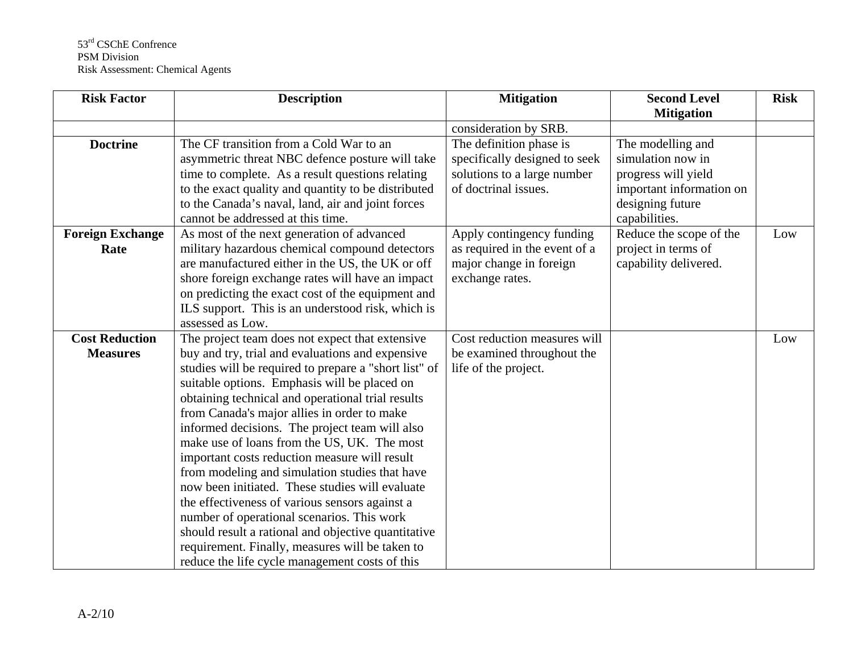| <b>Risk Factor</b>      | <b>Description</b>                                    | <b>Mitigation</b>             | <b>Second Level</b>      | <b>Risk</b> |
|-------------------------|-------------------------------------------------------|-------------------------------|--------------------------|-------------|
|                         |                                                       |                               | <b>Mitigation</b>        |             |
|                         |                                                       | consideration by SRB.         |                          |             |
| <b>Doctrine</b>         | The CF transition from a Cold War to an               | The definition phase is       | The modelling and        |             |
|                         | asymmetric threat NBC defence posture will take       | specifically designed to seek | simulation now in        |             |
|                         | time to complete. As a result questions relating      | solutions to a large number   | progress will yield      |             |
|                         | to the exact quality and quantity to be distributed   | of doctrinal issues.          | important information on |             |
|                         | to the Canada's naval, land, air and joint forces     |                               | designing future         |             |
|                         | cannot be addressed at this time.                     |                               | capabilities.            |             |
| <b>Foreign Exchange</b> | As most of the next generation of advanced            | Apply contingency funding     | Reduce the scope of the  | Low         |
| Rate                    | military hazardous chemical compound detectors        | as required in the event of a | project in terms of      |             |
|                         | are manufactured either in the US, the UK or off      | major change in foreign       | capability delivered.    |             |
|                         | shore foreign exchange rates will have an impact      | exchange rates.               |                          |             |
|                         | on predicting the exact cost of the equipment and     |                               |                          |             |
|                         | ILS support. This is an understood risk, which is     |                               |                          |             |
|                         | assessed as Low.                                      |                               |                          |             |
| <b>Cost Reduction</b>   | The project team does not expect that extensive       | Cost reduction measures will  |                          | Low         |
| <b>Measures</b>         | buy and try, trial and evaluations and expensive      | be examined throughout the    |                          |             |
|                         | studies will be required to prepare a "short list" of | life of the project.          |                          |             |
|                         | suitable options. Emphasis will be placed on          |                               |                          |             |
|                         | obtaining technical and operational trial results     |                               |                          |             |
|                         | from Canada's major allies in order to make           |                               |                          |             |
|                         | informed decisions. The project team will also        |                               |                          |             |
|                         | make use of loans from the US, UK. The most           |                               |                          |             |
|                         | important costs reduction measure will result         |                               |                          |             |
|                         | from modeling and simulation studies that have        |                               |                          |             |
|                         | now been initiated. These studies will evaluate       |                               |                          |             |
|                         | the effectiveness of various sensors against a        |                               |                          |             |
|                         | number of operational scenarios. This work            |                               |                          |             |
|                         | should result a rational and objective quantitative   |                               |                          |             |
|                         | requirement. Finally, measures will be taken to       |                               |                          |             |
|                         | reduce the life cycle management costs of this        |                               |                          |             |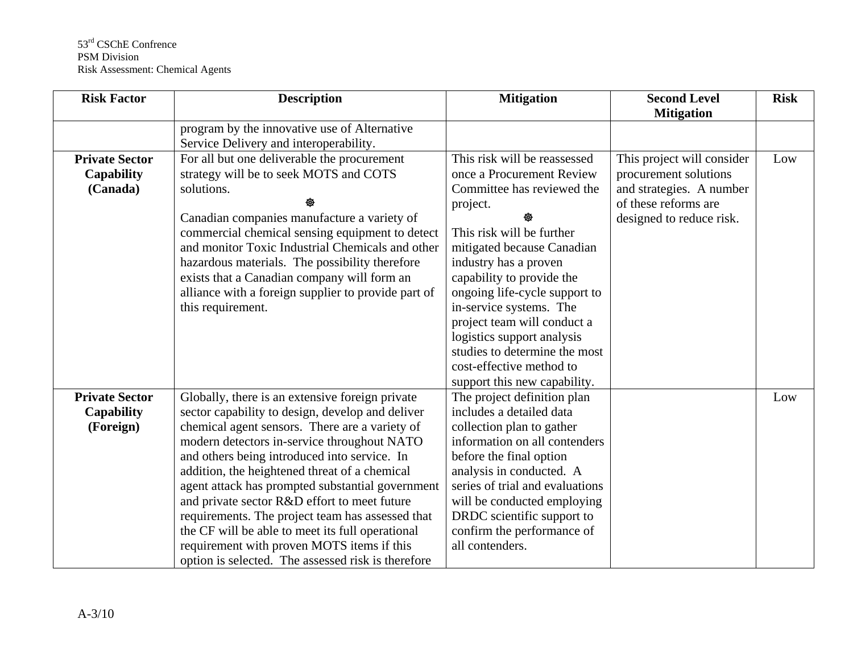| <b>Risk Factor</b>                                      | <b>Description</b>                                                                                                                                                                                                                                                                                                                                                                                                                                                                                                                                                                                                    | <b>Mitigation</b>                                                                                                                                                                                                                                                                                                                                                                                                                          | <b>Second Level</b><br><b>Mitigation</b>                                                                                            | <b>Risk</b> |
|---------------------------------------------------------|-----------------------------------------------------------------------------------------------------------------------------------------------------------------------------------------------------------------------------------------------------------------------------------------------------------------------------------------------------------------------------------------------------------------------------------------------------------------------------------------------------------------------------------------------------------------------------------------------------------------------|--------------------------------------------------------------------------------------------------------------------------------------------------------------------------------------------------------------------------------------------------------------------------------------------------------------------------------------------------------------------------------------------------------------------------------------------|-------------------------------------------------------------------------------------------------------------------------------------|-------------|
|                                                         | program by the innovative use of Alternative<br>Service Delivery and interoperability.                                                                                                                                                                                                                                                                                                                                                                                                                                                                                                                                |                                                                                                                                                                                                                                                                                                                                                                                                                                            |                                                                                                                                     |             |
| <b>Private Sector</b><br><b>Capability</b><br>(Canada)  | For all but one deliverable the procurement<br>strategy will be to seek MOTS and COTS<br>solutions.<br>Canadian companies manufacture a variety of<br>commercial chemical sensing equipment to detect<br>and monitor Toxic Industrial Chemicals and other<br>hazardous materials. The possibility therefore<br>exists that a Canadian company will form an<br>alliance with a foreign supplier to provide part of<br>this requirement.                                                                                                                                                                                | This risk will be reassessed<br>once a Procurement Review<br>Committee has reviewed the<br>project.<br>This risk will be further<br>mitigated because Canadian<br>industry has a proven<br>capability to provide the<br>ongoing life-cycle support to<br>in-service systems. The<br>project team will conduct a<br>logistics support analysis<br>studies to determine the most<br>cost-effective method to<br>support this new capability. | This project will consider<br>procurement solutions<br>and strategies. A number<br>of these reforms are<br>designed to reduce risk. | Low         |
| <b>Private Sector</b><br><b>Capability</b><br>(Foreign) | Globally, there is an extensive foreign private<br>sector capability to design, develop and deliver<br>chemical agent sensors. There are a variety of<br>modern detectors in-service throughout NATO<br>and others being introduced into service. In<br>addition, the heightened threat of a chemical<br>agent attack has prompted substantial government<br>and private sector R&D effort to meet future<br>requirements. The project team has assessed that<br>the CF will be able to meet its full operational<br>requirement with proven MOTS items if this<br>option is selected. The assessed risk is therefore | The project definition plan<br>includes a detailed data<br>collection plan to gather<br>information on all contenders<br>before the final option<br>analysis in conducted. A<br>series of trial and evaluations<br>will be conducted employing<br>DRDC scientific support to<br>confirm the performance of<br>all contenders.                                                                                                              |                                                                                                                                     | Low         |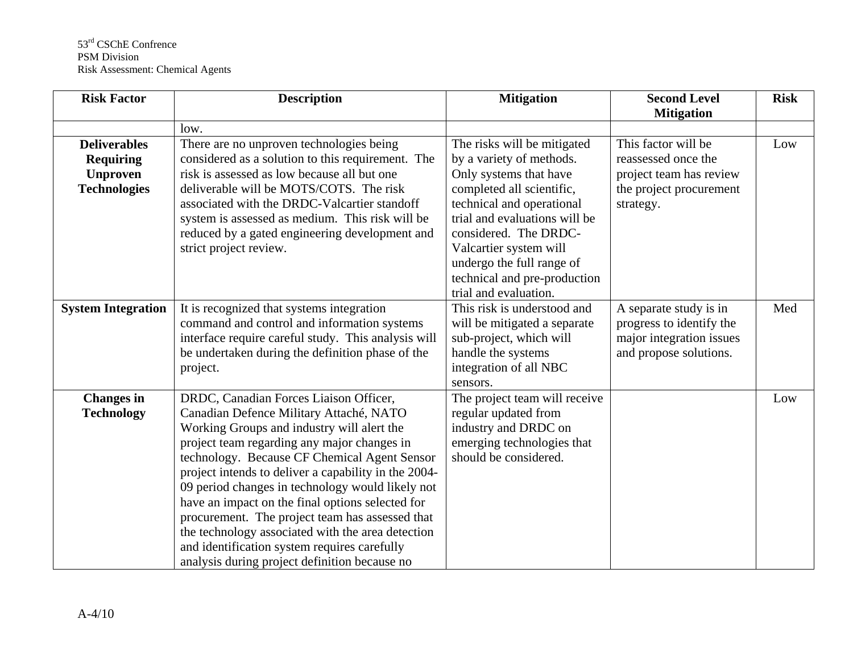| <b>Risk Factor</b>                                                                | <b>Description</b>                                                                                                                                                                                                                                                                                                                                                                                                                                                                                                                                                                                      | <b>Mitigation</b>                                                                                                                                                                                                                                                                                                     | <b>Second Level</b><br><b>Mitigation</b>                                                                      | <b>Risk</b> |
|-----------------------------------------------------------------------------------|---------------------------------------------------------------------------------------------------------------------------------------------------------------------------------------------------------------------------------------------------------------------------------------------------------------------------------------------------------------------------------------------------------------------------------------------------------------------------------------------------------------------------------------------------------------------------------------------------------|-----------------------------------------------------------------------------------------------------------------------------------------------------------------------------------------------------------------------------------------------------------------------------------------------------------------------|---------------------------------------------------------------------------------------------------------------|-------------|
|                                                                                   | low.                                                                                                                                                                                                                                                                                                                                                                                                                                                                                                                                                                                                    |                                                                                                                                                                                                                                                                                                                       |                                                                                                               |             |
| <b>Deliverables</b><br><b>Requiring</b><br><b>Unproven</b><br><b>Technologies</b> | There are no unproven technologies being<br>considered as a solution to this requirement. The<br>risk is assessed as low because all but one<br>deliverable will be MOTS/COTS. The risk<br>associated with the DRDC-Valcartier standoff<br>system is assessed as medium. This risk will be<br>reduced by a gated engineering development and<br>strict project review.                                                                                                                                                                                                                                  | The risks will be mitigated<br>by a variety of methods.<br>Only systems that have<br>completed all scientific,<br>technical and operational<br>trial and evaluations will be<br>considered. The DRDC-<br>Valcartier system will<br>undergo the full range of<br>technical and pre-production<br>trial and evaluation. | This factor will be<br>reassessed once the<br>project team has review<br>the project procurement<br>strategy. | Low         |
| <b>System Integration</b>                                                         | It is recognized that systems integration<br>command and control and information systems<br>interface require careful study. This analysis will<br>be undertaken during the definition phase of the<br>project.                                                                                                                                                                                                                                                                                                                                                                                         | This risk is understood and<br>will be mitigated a separate<br>sub-project, which will<br>handle the systems<br>integration of all NBC<br>sensors.                                                                                                                                                                    | A separate study is in<br>progress to identify the<br>major integration issues<br>and propose solutions.      | Med         |
| <b>Changes</b> in<br><b>Technology</b>                                            | DRDC, Canadian Forces Liaison Officer,<br>Canadian Defence Military Attaché, NATO<br>Working Groups and industry will alert the<br>project team regarding any major changes in<br>technology. Because CF Chemical Agent Sensor<br>project intends to deliver a capability in the 2004-<br>09 period changes in technology would likely not<br>have an impact on the final options selected for<br>procurement. The project team has assessed that<br>the technology associated with the area detection<br>and identification system requires carefully<br>analysis during project definition because no | The project team will receive<br>regular updated from<br>industry and DRDC on<br>emerging technologies that<br>should be considered.                                                                                                                                                                                  |                                                                                                               | Low         |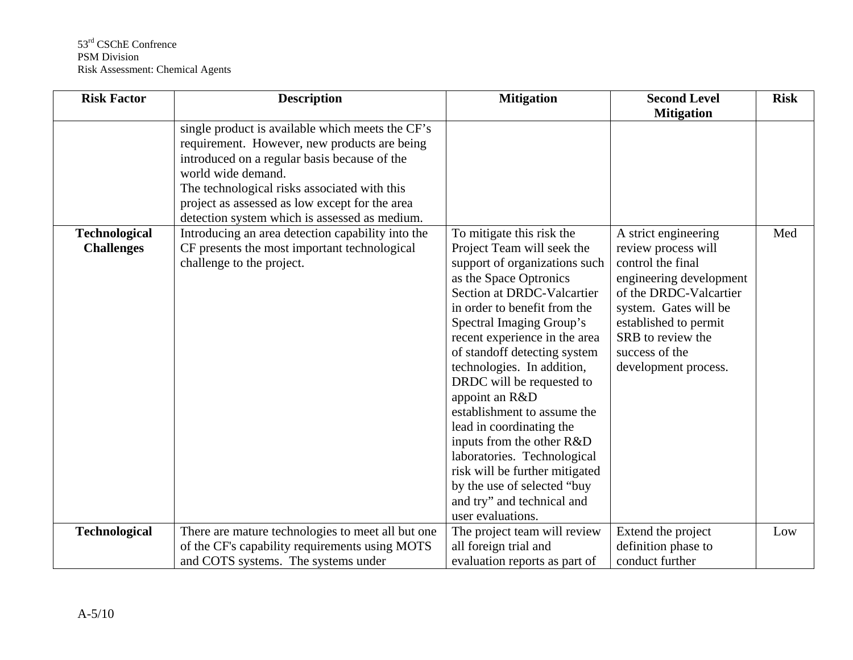| <b>Risk Factor</b>                        | <b>Description</b>                                                                                                                               | <b>Mitigation</b>                                                                                                                                                                                                                                                                                                                                                                                                                                                                                                                                                                                     | <b>Second Level</b>                                                                                                                                                                                                                    | <b>Risk</b> |
|-------------------------------------------|--------------------------------------------------------------------------------------------------------------------------------------------------|-------------------------------------------------------------------------------------------------------------------------------------------------------------------------------------------------------------------------------------------------------------------------------------------------------------------------------------------------------------------------------------------------------------------------------------------------------------------------------------------------------------------------------------------------------------------------------------------------------|----------------------------------------------------------------------------------------------------------------------------------------------------------------------------------------------------------------------------------------|-------------|
|                                           | single product is available which meets the CF's<br>requirement. However, new products are being<br>introduced on a regular basis because of the |                                                                                                                                                                                                                                                                                                                                                                                                                                                                                                                                                                                                       | <b>Mitigation</b>                                                                                                                                                                                                                      |             |
|                                           | world wide demand.<br>The technological risks associated with this<br>project as assessed as low except for the area                             |                                                                                                                                                                                                                                                                                                                                                                                                                                                                                                                                                                                                       |                                                                                                                                                                                                                                        |             |
|                                           | detection system which is assessed as medium.                                                                                                    |                                                                                                                                                                                                                                                                                                                                                                                                                                                                                                                                                                                                       |                                                                                                                                                                                                                                        |             |
| <b>Technological</b><br><b>Challenges</b> | Introducing an area detection capability into the<br>CF presents the most important technological<br>challenge to the project.                   | To mitigate this risk the<br>Project Team will seek the<br>support of organizations such<br>as the Space Optronics<br>Section at DRDC-Valcartier<br>in order to benefit from the<br>Spectral Imaging Group's<br>recent experience in the area<br>of standoff detecting system<br>technologies. In addition,<br>DRDC will be requested to<br>appoint an R&D<br>establishment to assume the<br>lead in coordinating the<br>inputs from the other R&D<br>laboratories. Technological<br>risk will be further mitigated<br>by the use of selected "buy<br>and try" and technical and<br>user evaluations. | A strict engineering<br>review process will<br>control the final<br>engineering development<br>of the DRDC-Valcartier<br>system. Gates will be<br>established to permit<br>SRB to review the<br>success of the<br>development process. | Med         |
| <b>Technological</b>                      | There are mature technologies to meet all but one                                                                                                | The project team will review                                                                                                                                                                                                                                                                                                                                                                                                                                                                                                                                                                          | Extend the project                                                                                                                                                                                                                     | Low         |
|                                           | of the CF's capability requirements using MOTS                                                                                                   | all foreign trial and                                                                                                                                                                                                                                                                                                                                                                                                                                                                                                                                                                                 | definition phase to                                                                                                                                                                                                                    |             |
|                                           | and COTS systems. The systems under                                                                                                              | evaluation reports as part of                                                                                                                                                                                                                                                                                                                                                                                                                                                                                                                                                                         | conduct further                                                                                                                                                                                                                        |             |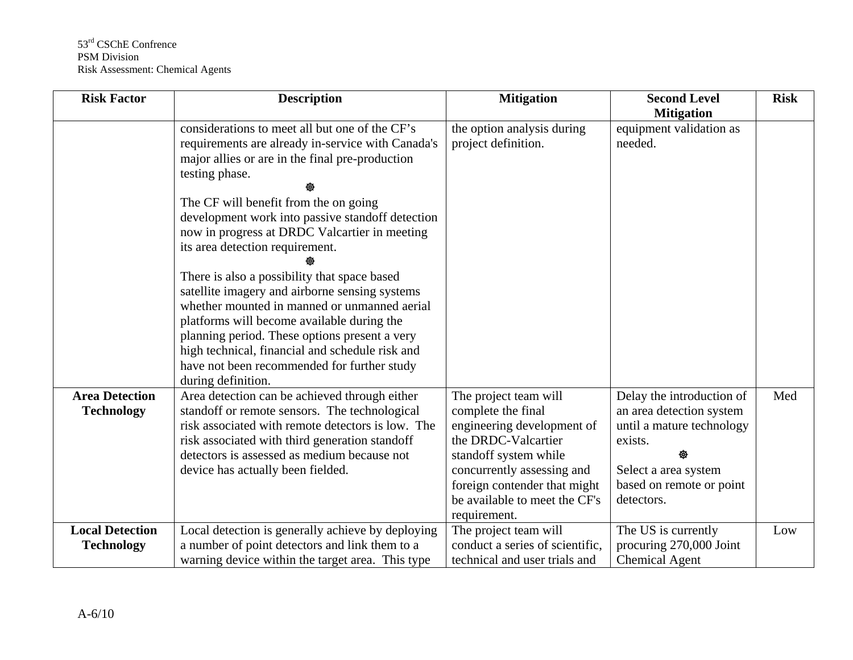| <b>Risk Factor</b>                          | <b>Description</b>                                                                                                                                                                                                                                                                                                                                                                                                                                                                                                                                                                                                                                                                                                                 | <b>Mitigation</b>                                                                                                                                                                                                                        | <b>Second Level</b>                                                                                                                                                  | <b>Risk</b> |
|---------------------------------------------|------------------------------------------------------------------------------------------------------------------------------------------------------------------------------------------------------------------------------------------------------------------------------------------------------------------------------------------------------------------------------------------------------------------------------------------------------------------------------------------------------------------------------------------------------------------------------------------------------------------------------------------------------------------------------------------------------------------------------------|------------------------------------------------------------------------------------------------------------------------------------------------------------------------------------------------------------------------------------------|----------------------------------------------------------------------------------------------------------------------------------------------------------------------|-------------|
|                                             | considerations to meet all but one of the CF's<br>requirements are already in-service with Canada's<br>major allies or are in the final pre-production<br>testing phase.<br>The CF will benefit from the on going<br>development work into passive standoff detection<br>now in progress at DRDC Valcartier in meeting<br>its area detection requirement.<br>There is also a possibility that space based<br>satellite imagery and airborne sensing systems<br>whether mounted in manned or unmanned aerial<br>platforms will become available during the<br>planning period. These options present a very<br>high technical, financial and schedule risk and<br>have not been recommended for further study<br>during definition. | the option analysis during<br>project definition.                                                                                                                                                                                        | <b>Mitigation</b><br>equipment validation as<br>needed.                                                                                                              |             |
| <b>Area Detection</b><br><b>Technology</b>  | Area detection can be achieved through either<br>standoff or remote sensors. The technological<br>risk associated with remote detectors is low. The<br>risk associated with third generation standoff<br>detectors is assessed as medium because not<br>device has actually been fielded.                                                                                                                                                                                                                                                                                                                                                                                                                                          | The project team will<br>complete the final<br>engineering development of<br>the DRDC-Valcartier<br>standoff system while<br>concurrently assessing and<br>foreign contender that might<br>be available to meet the CF's<br>requirement. | Delay the introduction of<br>an area detection system<br>until a mature technology<br>exists.<br>₩<br>Select a area system<br>based on remote or point<br>detectors. | Med         |
| <b>Local Detection</b><br><b>Technology</b> | Local detection is generally achieve by deploying<br>a number of point detectors and link them to a<br>warning device within the target area. This type                                                                                                                                                                                                                                                                                                                                                                                                                                                                                                                                                                            | The project team will<br>conduct a series of scientific,<br>technical and user trials and                                                                                                                                                | The US is currently<br>procuring 270,000 Joint<br><b>Chemical Agent</b>                                                                                              | Low         |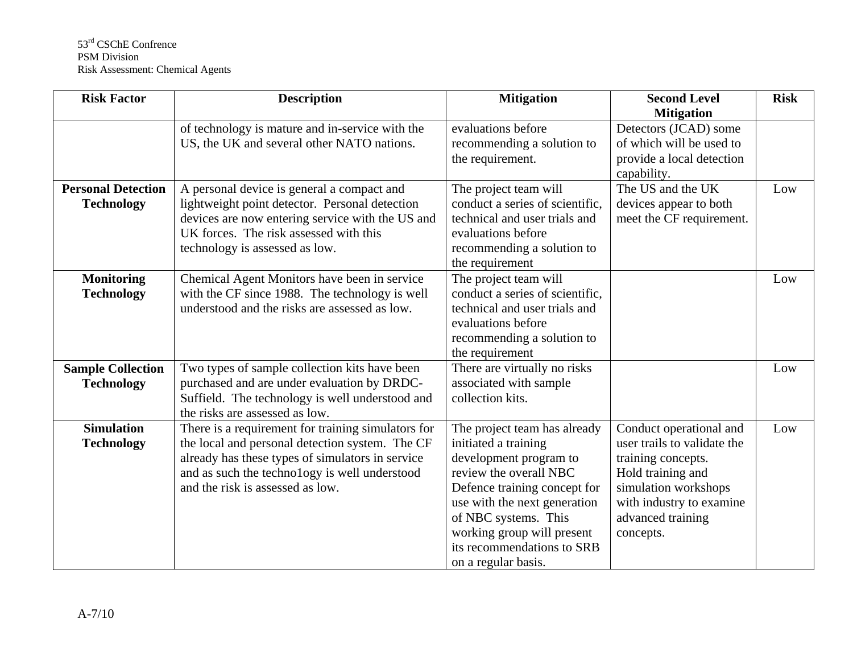| <b>Risk Factor</b>                             | <b>Description</b>                                                                                                                                                                                                                             | <b>Mitigation</b>                                                                                                                                                                                                                                                                   | <b>Second Level</b><br><b>Mitigation</b>                                                                                                                                                | <b>Risk</b> |
|------------------------------------------------|------------------------------------------------------------------------------------------------------------------------------------------------------------------------------------------------------------------------------------------------|-------------------------------------------------------------------------------------------------------------------------------------------------------------------------------------------------------------------------------------------------------------------------------------|-----------------------------------------------------------------------------------------------------------------------------------------------------------------------------------------|-------------|
|                                                | of technology is mature and in-service with the<br>US, the UK and several other NATO nations.                                                                                                                                                  | evaluations before<br>recommending a solution to<br>the requirement.                                                                                                                                                                                                                | Detectors (JCAD) some<br>of which will be used to<br>provide a local detection<br>capability.                                                                                           |             |
| <b>Personal Detection</b><br><b>Technology</b> | A personal device is general a compact and<br>lightweight point detector. Personal detection<br>devices are now entering service with the US and<br>UK forces. The risk assessed with this<br>technology is assessed as low.                   | The project team will<br>conduct a series of scientific,<br>technical and user trials and<br>evaluations before<br>recommending a solution to<br>the requirement                                                                                                                    | The US and the UK<br>devices appear to both<br>meet the CF requirement.                                                                                                                 | Low         |
| <b>Monitoring</b><br><b>Technology</b>         | Chemical Agent Monitors have been in service<br>with the CF since 1988. The technology is well<br>understood and the risks are assessed as low.                                                                                                | The project team will<br>conduct a series of scientific,<br>technical and user trials and<br>evaluations before<br>recommending a solution to<br>the requirement                                                                                                                    |                                                                                                                                                                                         | Low         |
| <b>Sample Collection</b><br><b>Technology</b>  | Two types of sample collection kits have been<br>purchased and are under evaluation by DRDC-<br>Suffield. The technology is well understood and<br>the risks are assessed as low.                                                              | There are virtually no risks<br>associated with sample<br>collection kits.                                                                                                                                                                                                          |                                                                                                                                                                                         | Low         |
| <b>Simulation</b><br><b>Technology</b>         | There is a requirement for training simulators for<br>the local and personal detection system. The CF<br>already has these types of simulators in service<br>and as such the technology is well understood<br>and the risk is assessed as low. | The project team has already<br>initiated a training<br>development program to<br>review the overall NBC<br>Defence training concept for<br>use with the next generation<br>of NBC systems. This<br>working group will present<br>its recommendations to SRB<br>on a regular basis. | Conduct operational and<br>user trails to validate the<br>training concepts.<br>Hold training and<br>simulation workshops<br>with industry to examine<br>advanced training<br>concepts. | Low         |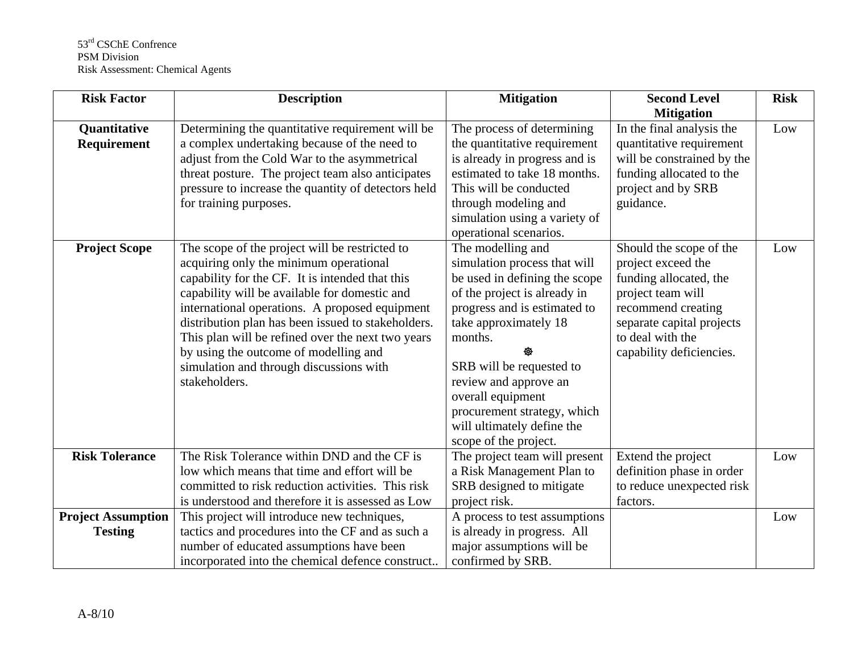| <b>Risk Factor</b>        | <b>Description</b>                                  | <b>Mitigation</b>             | <b>Second Level</b>        | <b>Risk</b> |
|---------------------------|-----------------------------------------------------|-------------------------------|----------------------------|-------------|
|                           |                                                     |                               | <b>Mitigation</b>          |             |
| <b>Quantitative</b>       | Determining the quantitative requirement will be    | The process of determining    | In the final analysis the  | Low         |
| Requirement               | a complex undertaking because of the need to        | the quantitative requirement  | quantitative requirement   |             |
|                           | adjust from the Cold War to the asymmetrical        | is already in progress and is | will be constrained by the |             |
|                           | threat posture. The project team also anticipates   | estimated to take 18 months.  | funding allocated to the   |             |
|                           | pressure to increase the quantity of detectors held | This will be conducted        | project and by SRB         |             |
|                           | for training purposes.                              | through modeling and          | guidance.                  |             |
|                           |                                                     | simulation using a variety of |                            |             |
|                           |                                                     | operational scenarios.        |                            |             |
| <b>Project Scope</b>      | The scope of the project will be restricted to      | The modelling and             | Should the scope of the    | Low         |
|                           | acquiring only the minimum operational              | simulation process that will  | project exceed the         |             |
|                           | capability for the CF. It is intended that this     | be used in defining the scope | funding allocated, the     |             |
|                           | capability will be available for domestic and       | of the project is already in  | project team will          |             |
|                           | international operations. A proposed equipment      | progress and is estimated to  | recommend creating         |             |
|                           | distribution plan has been issued to stakeholders.  | take approximately 18         | separate capital projects  |             |
|                           | This plan will be refined over the next two years   | months.                       | to deal with the           |             |
|                           | by using the outcome of modelling and               |                               | capability deficiencies.   |             |
|                           | simulation and through discussions with             | SRB will be requested to      |                            |             |
|                           | stakeholders.                                       | review and approve an         |                            |             |
|                           |                                                     | overall equipment             |                            |             |
|                           |                                                     | procurement strategy, which   |                            |             |
|                           |                                                     | will ultimately define the    |                            |             |
|                           |                                                     | scope of the project.         |                            |             |
| <b>Risk Tolerance</b>     | The Risk Tolerance within DND and the CF is         | The project team will present | Extend the project         | Low         |
|                           | low which means that time and effort will be        | a Risk Management Plan to     | definition phase in order  |             |
|                           | committed to risk reduction activities. This risk   | SRB designed to mitigate      | to reduce unexpected risk  |             |
|                           | is understood and therefore it is assessed as Low   | project risk.                 | factors.                   |             |
| <b>Project Assumption</b> | This project will introduce new techniques,         | A process to test assumptions |                            | Low         |
| <b>Testing</b>            | tactics and procedures into the CF and as such a    | is already in progress. All   |                            |             |
|                           | number of educated assumptions have been            | major assumptions will be     |                            |             |
|                           | incorporated into the chemical defence construct    | confirmed by SRB.             |                            |             |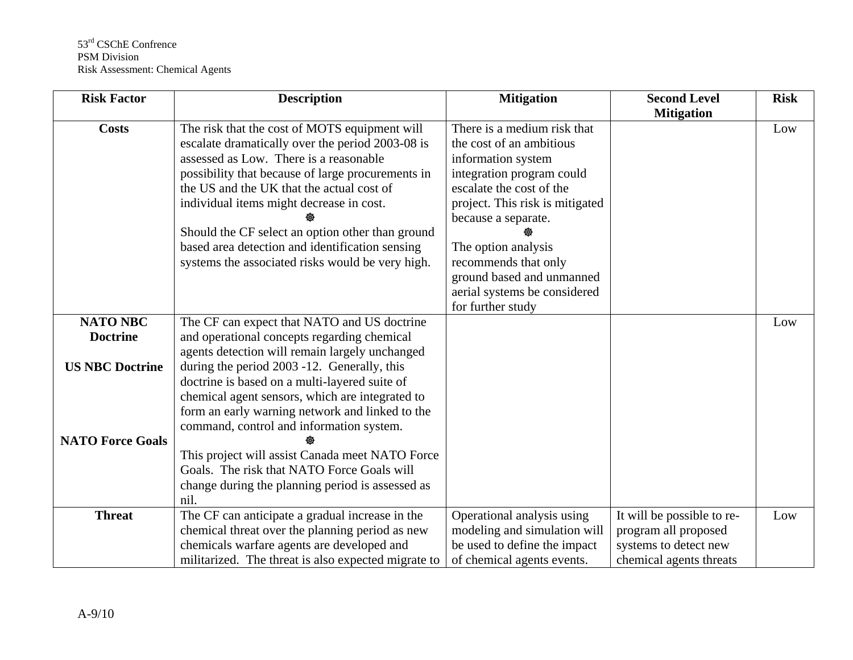| <b>Risk Factor</b>                                | <b>Description</b>                                                                                                                                                                                                                                                                                                                                                                                                                                   | <b>Mitigation</b>                                                                                                                                                                                                                                                                                                                 | <b>Second Level</b><br><b>Mitigation</b>                                                               | <b>Risk</b> |
|---------------------------------------------------|------------------------------------------------------------------------------------------------------------------------------------------------------------------------------------------------------------------------------------------------------------------------------------------------------------------------------------------------------------------------------------------------------------------------------------------------------|-----------------------------------------------------------------------------------------------------------------------------------------------------------------------------------------------------------------------------------------------------------------------------------------------------------------------------------|--------------------------------------------------------------------------------------------------------|-------------|
| <b>Costs</b>                                      | The risk that the cost of MOTS equipment will<br>escalate dramatically over the period 2003-08 is<br>assessed as Low. There is a reasonable<br>possibility that because of large procurements in<br>the US and the UK that the actual cost of<br>individual items might decrease in cost.<br>Should the CF select an option other than ground<br>based area detection and identification sensing<br>systems the associated risks would be very high. | There is a medium risk that<br>the cost of an ambitious<br>information system<br>integration program could<br>escalate the cost of the<br>project. This risk is mitigated<br>because a separate.<br>The option analysis<br>recommends that only<br>ground based and unmanned<br>aerial systems be considered<br>for further study |                                                                                                        | Low         |
| <b>NATO NBC</b><br><b>Doctrine</b>                | The CF can expect that NATO and US doctrine<br>and operational concepts regarding chemical<br>agents detection will remain largely unchanged                                                                                                                                                                                                                                                                                                         |                                                                                                                                                                                                                                                                                                                                   |                                                                                                        | Low         |
| <b>US NBC Doctrine</b><br><b>NATO Force Goals</b> | during the period 2003 -12. Generally, this<br>doctrine is based on a multi-layered suite of<br>chemical agent sensors, which are integrated to<br>form an early warning network and linked to the<br>command, control and information system.<br>This project will assist Canada meet NATO Force<br>Goals. The risk that NATO Force Goals will<br>change during the planning period is assessed as<br>nil.                                          |                                                                                                                                                                                                                                                                                                                                   |                                                                                                        |             |
| <b>Threat</b>                                     | The CF can anticipate a gradual increase in the<br>chemical threat over the planning period as new<br>chemicals warfare agents are developed and<br>militarized. The threat is also expected migrate to                                                                                                                                                                                                                                              | Operational analysis using<br>modeling and simulation will<br>be used to define the impact<br>of chemical agents events.                                                                                                                                                                                                          | It will be possible to re-<br>program all proposed<br>systems to detect new<br>chemical agents threats | Low         |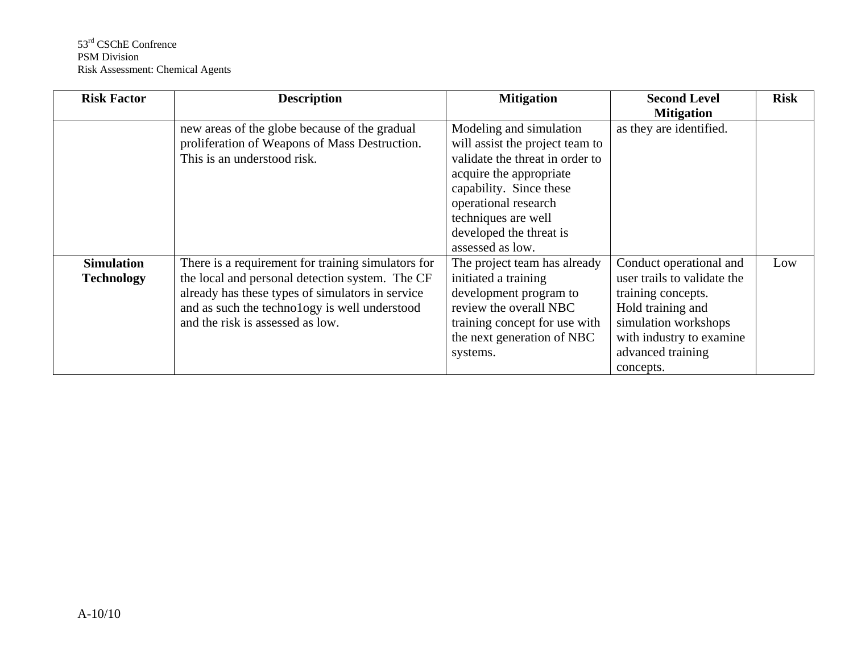| <b>Risk Factor</b>                     | <b>Description</b>                                                                                                                                                                                                                             | <b>Mitigation</b>                                                                                                                                                                                                                                 | <b>Second Level</b><br><b>Mitigation</b>                                                                                                                                                | <b>Risk</b> |
|----------------------------------------|------------------------------------------------------------------------------------------------------------------------------------------------------------------------------------------------------------------------------------------------|---------------------------------------------------------------------------------------------------------------------------------------------------------------------------------------------------------------------------------------------------|-----------------------------------------------------------------------------------------------------------------------------------------------------------------------------------------|-------------|
|                                        | new areas of the globe because of the gradual<br>proliferation of Weapons of Mass Destruction.<br>This is an understood risk.                                                                                                                  | Modeling and simulation<br>will assist the project team to<br>validate the threat in order to<br>acquire the appropriate<br>capability. Since these<br>operational research<br>techniques are well<br>developed the threat is<br>assessed as low. | as they are identified.                                                                                                                                                                 |             |
| <b>Simulation</b><br><b>Technology</b> | There is a requirement for training simulators for<br>the local and personal detection system. The CF<br>already has these types of simulators in service<br>and as such the technology is well understood<br>and the risk is assessed as low. | The project team has already<br>initiated a training<br>development program to<br>review the overall NBC<br>training concept for use with<br>the next generation of NBC<br>systems.                                                               | Conduct operational and<br>user trails to validate the<br>training concepts.<br>Hold training and<br>simulation workshops<br>with industry to examine<br>advanced training<br>concepts. | Low         |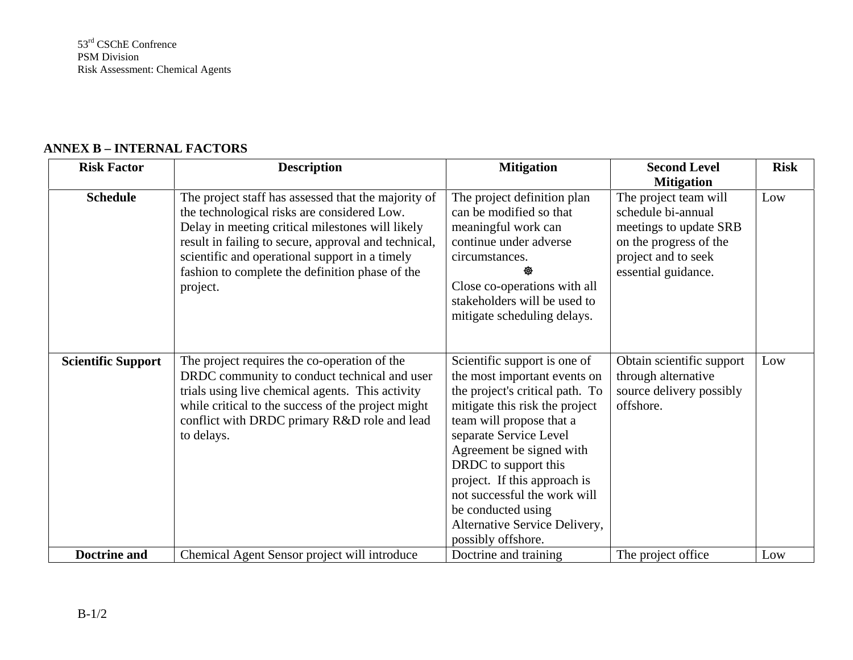#### **ANNEX B – INTERNAL FACTORS**

| <b>Risk Factor</b>        | <b>Description</b>                                   | <b>Mitigation</b>               | <b>Second Level</b>       | <b>Risk</b> |
|---------------------------|------------------------------------------------------|---------------------------------|---------------------------|-------------|
|                           |                                                      |                                 | <b>Mitigation</b>         |             |
| <b>Schedule</b>           | The project staff has assessed that the majority of  | The project definition plan     | The project team will     | Low         |
|                           | the technological risks are considered Low.          | can be modified so that         | schedule bi-annual        |             |
|                           | Delay in meeting critical milestones will likely     | meaningful work can             | meetings to update SRB    |             |
|                           | result in failing to secure, approval and technical, | continue under adverse          | on the progress of the    |             |
|                           | scientific and operational support in a timely       | circumstances.                  | project and to seek       |             |
|                           | fashion to complete the definition phase of the      |                                 | essential guidance.       |             |
|                           | project.                                             | Close co-operations with all    |                           |             |
|                           |                                                      | stakeholders will be used to    |                           |             |
|                           |                                                      | mitigate scheduling delays.     |                           |             |
|                           |                                                      |                                 |                           |             |
|                           |                                                      |                                 |                           |             |
| <b>Scientific Support</b> | The project requires the co-operation of the         | Scientific support is one of    | Obtain scientific support | Low         |
|                           | DRDC community to conduct technical and user         | the most important events on    | through alternative       |             |
|                           | trials using live chemical agents. This activity     | the project's critical path. To | source delivery possibly  |             |
|                           | while critical to the success of the project might   | mitigate this risk the project  | offshore.                 |             |
|                           | conflict with DRDC primary R&D role and lead         | team will propose that a        |                           |             |
|                           | to delays.                                           | separate Service Level          |                           |             |
|                           |                                                      | Agreement be signed with        |                           |             |
|                           |                                                      | DRDC to support this            |                           |             |
|                           |                                                      | project. If this approach is    |                           |             |
|                           |                                                      | not successful the work will    |                           |             |
|                           |                                                      | be conducted using              |                           |             |
|                           |                                                      | Alternative Service Delivery,   |                           |             |
|                           |                                                      | possibly offshore.              |                           |             |
| <b>Doctrine and</b>       | Chemical Agent Sensor project will introduce         | Doctrine and training           | The project office        | Low         |